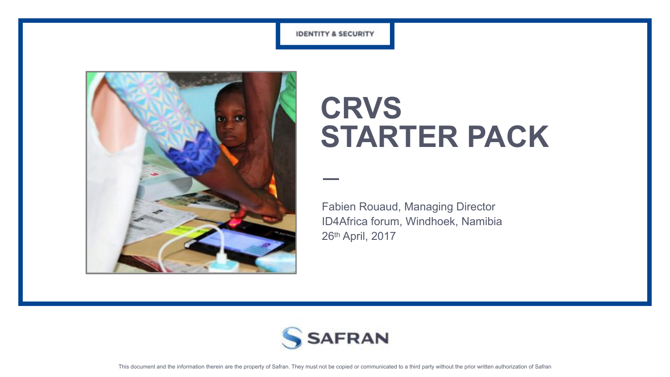



# **CRVS STARTER PACK**

Fabien Rouaud, Managing Director ID4Africa forum, Windhoek, Namibia 26th April, 2017

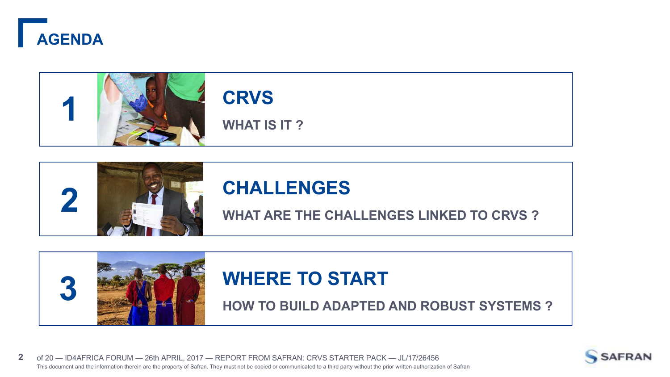



# **CRVS**

**WHAT IS IT ?**





# **WHERE TO START**



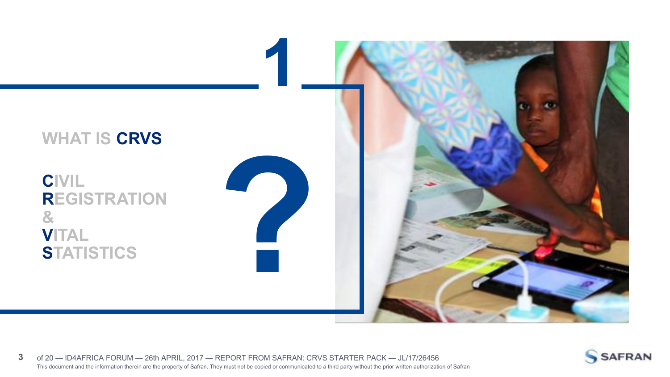



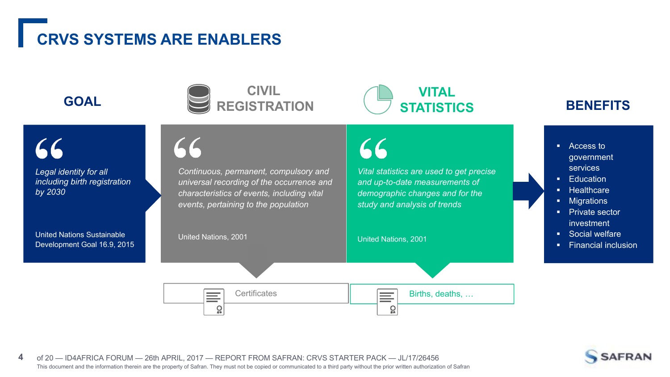# **CRVS SYSTEMS ARE ENABLERS**

 $\mathsf{C} \mathsf{C}$ 



*Continuous, permanent, compulsory and universal recording of the occurrence and*



*Vital statistics are used to get precise and up-to-date measurements of*

66

- Access to government services
- Education
- § Healthcare
- § Migrations
- Private sector investment
- § Social welfare
- Financial inclusion



United Nations Sustainable Development Goal 16.9, 2015





This document and the information therein are the property of Safran. They must not be copied or communicated to a third party without the prior written authorization of Safran **4** of 20 — ID4AFRICA FORUM — 26th APRIL, 2017 — REPORT FROM SAFRAN: CRVS STARTER PACK — JL/17/26456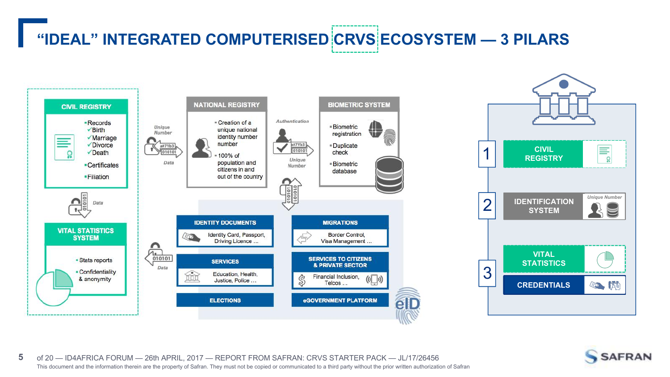# **"IDEAL" INTEGRATED COMPUTERISED CRVS ECOSYSTEM — 3 PILARS**





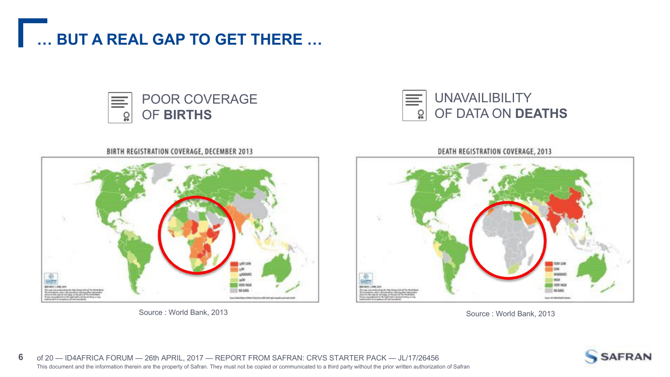





BIRTH REGISTRATION COVERAGE, DECEMBER 2013 SADE **VERTIRGS** NO DATA

Source : World Bank, 2013 Source : World Bank, 2013

DEATH REGISTRATION COVERAGE, 2013



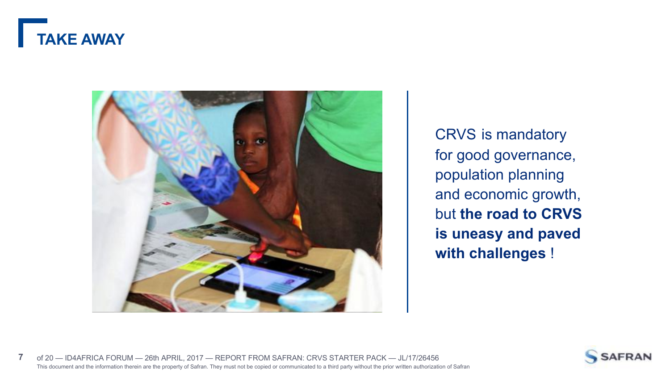



CRVS is mandatory for good governance, population planning and economic growth, but **the road to CRVS is uneasy and paved with challenges** !



This document and the information therein are the property of Safran. They must not be copied or communicated to a third party without the prior written authorization of Safran **7** of 20 — ID4AFRICA FORUM — 26th APRIL, 2017 — REPORT FROM SAFRAN: CRVS STARTER PACK — JL/17/26456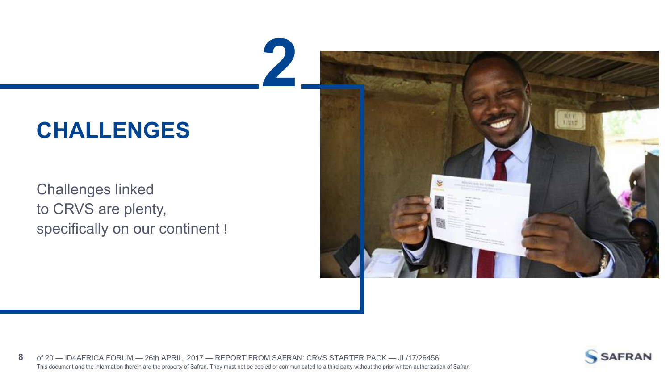# **CHALLENGES**

Challenges linked to CRVS are plenty, specifically on our continent !





8 of 20 - ID4AFRICA FORUM - 26th APRIL, 2017 - REPORT FROM SAFRAN: CRVS STARTER PACK - JL/17/26456<br>This document and the information therein are the property of Safran. They must not be copied or communicated to a third pa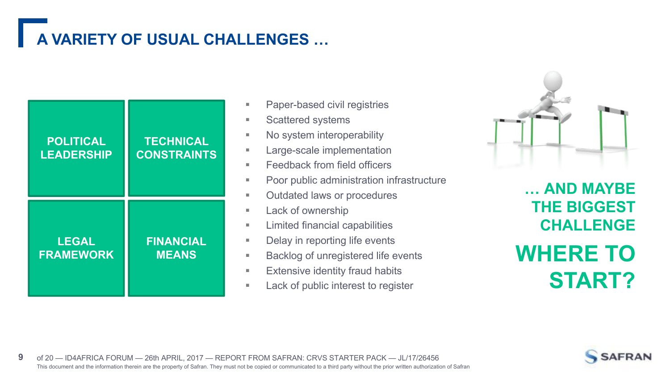# **A VARIETY OF USUAL CHALLENGES …**

| <b>POLITICAL</b><br><b>LEADERSHIP</b> | <b>TECHNICAL</b><br><b>CONSTRAINTS</b> |  |
|---------------------------------------|----------------------------------------|--|
| <b>LEGAL</b><br><b>FRAMEWORK</b>      | <b>FINANCIAL</b><br><b>MEANS</b>       |  |

- Paper-based civil registries ■ Scattered systems ■ No system interoperability ■ Large-scale implementation ■ Feedback from field officers ■ Poor public administration infrastructure ■ Outdated laws or procedures ■ Lack of ownership ■ Limited financial capabilities **FINANCIAL Example 2** Delay in reporting life events ■ Backlog of unregistered life events **Extensive identity fraud habits TECHNICAL CONSTRAINTS E** Large-Scale implement
	- Lack of public interest to register



**… AND MAYBE THE BIGGEST CHALLENGE WHERE TO START?**

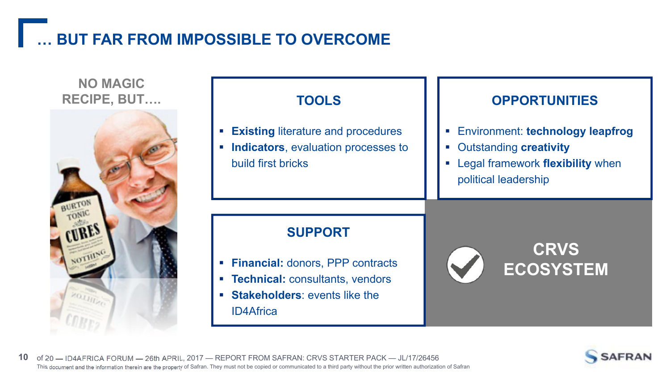## **… BUT FAR FROM IMPOSSIBLE TO OVERCOME**

### **NO MAGIC RECIPE, BUT….**



| <b>TOOLS</b>                                                                                                                                     |
|--------------------------------------------------------------------------------------------------------------------------------------------------|
| <b>Existing literature and procedures</b><br>• Indicators, evaluation processes to<br>build first bricks                                         |
| <b>SUPPORT</b><br>• Financial: donors, PPP contracts<br>• Technical: consultants, vendors<br>• Stakeholders: events like the<br><b>ID4Africa</b> |

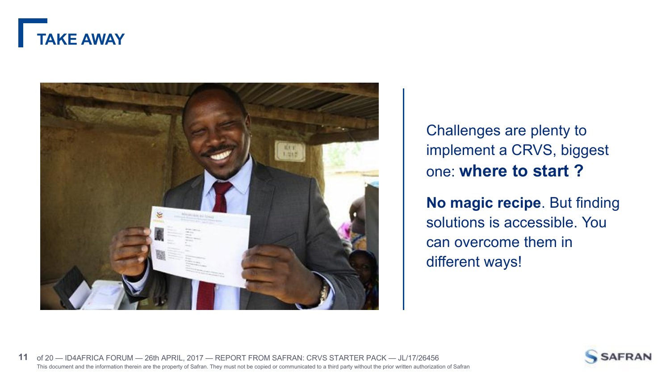



Challenges are plenty to implement a CRVS, biggest one: **where to start ?**

**No magic recipe**. But finding solutions is accessible. You can overcome them in different ways!

![](_page_10_Picture_4.jpeg)

![](_page_10_Picture_5.jpeg)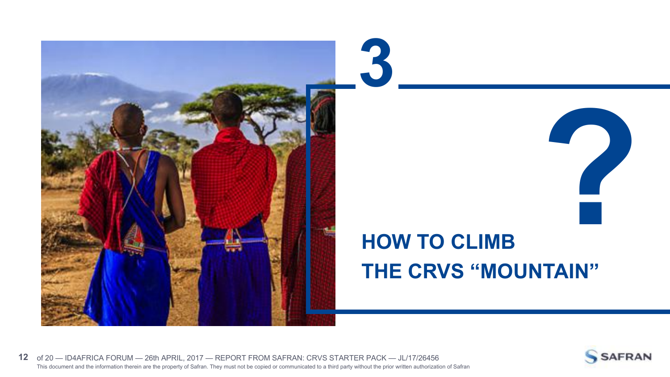![](_page_11_Picture_0.jpeg)

# **HOW TO CLIMB THE CRVS "MOUNTAIN"**

![](_page_11_Picture_2.jpeg)

![](_page_11_Picture_3.jpeg)

**?**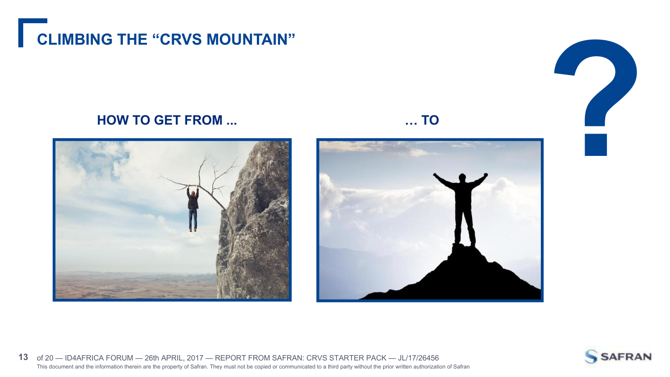![](_page_12_Picture_0.jpeg)

![](_page_12_Picture_2.jpeg)

![](_page_12_Picture_3.jpeg)

![](_page_12_Picture_4.jpeg)

![](_page_12_Picture_6.jpeg)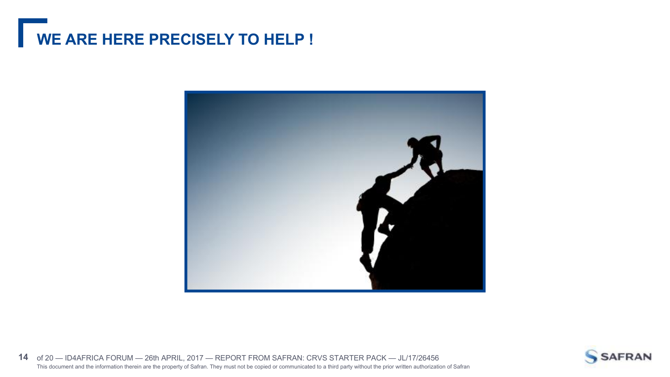# **WE ARE HERE PRECISELY TO HELP !**

![](_page_13_Picture_1.jpeg)

This document and the information therein are the property of Safran. They must not be copied or communicated to a third party without the prior written authorization of Safran **14** of 20 — ID4AFRICA FORUM — 26th APRIL, 2017 — REPORT FROM SAFRAN: CRVS STARTER PACK — JL/17/26456

![](_page_13_Picture_3.jpeg)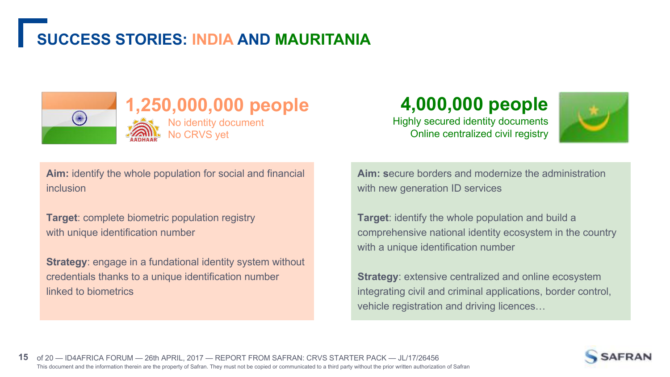## **SUCCESS STORIES: INDIA AND MAURITANIA**

No CRVS yet

![](_page_14_Picture_1.jpeg)

### **1,250,000,000 people** No identity document

**4,000,000 people**

Highly secured identity documents Online centralized civil registry

![](_page_14_Picture_5.jpeg)

**Aim:** identify the whole population for social and financial inclusion

**Target**: complete biometric population registry with unique identification number

**Strategy**: engage in a fundational identity system without credentials thanks to a unique identification number linked to biometrics

**Aim: s**ecure borders and modernize the administration with new generation ID services

**Target**: identify the whole population and build a comprehensive national identity ecosystem in the country with a unique identification number

**Strategy: extensive centralized and online ecosystem** integrating civil and criminal applications, border control, vehicle registration and driving licences…

![](_page_14_Picture_12.jpeg)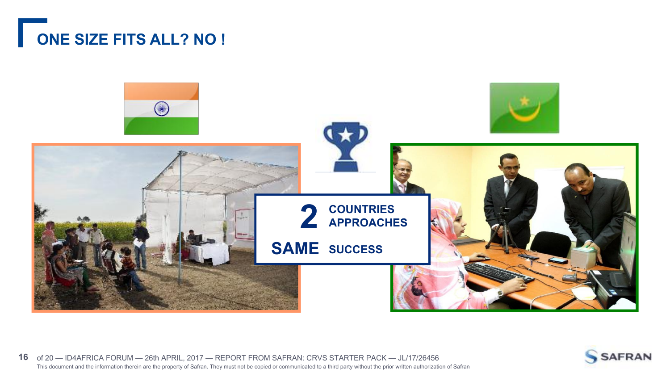# **ONE SIZE FITS ALL? NO !**

![](_page_15_Picture_1.jpeg)

![](_page_15_Picture_3.jpeg)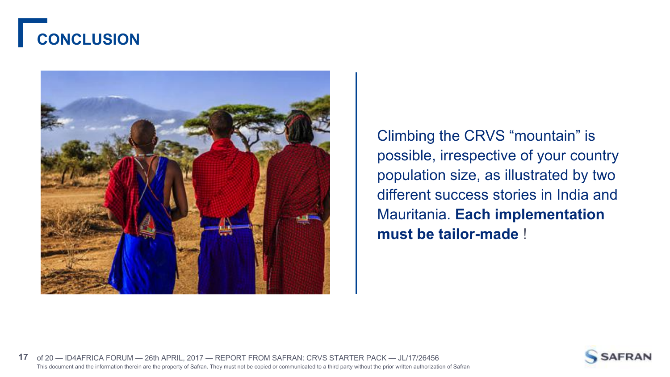# **CONCLUSION**

![](_page_16_Picture_1.jpeg)

Climbing the CRVS "mountain" is possible, irrespective of your country population size, as illustrated by two different success stories in India and Mauritania. **Each implementation must be tailor-made** !

![](_page_16_Picture_3.jpeg)

![](_page_16_Picture_4.jpeg)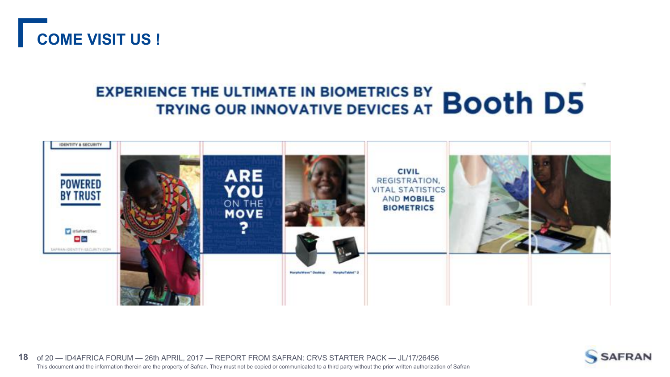![](_page_17_Picture_0.jpeg)

# **EXPERIENCE THE ULTIMATE IN BIOMETRICS BY BOOTH D5**

![](_page_17_Picture_2.jpeg)

![](_page_17_Picture_4.jpeg)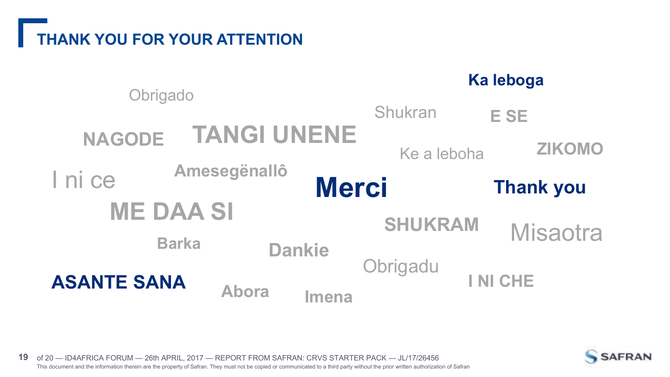# **THANK YOU FOR YOUR ATTENTION**

![](_page_18_Figure_1.jpeg)

![](_page_18_Picture_3.jpeg)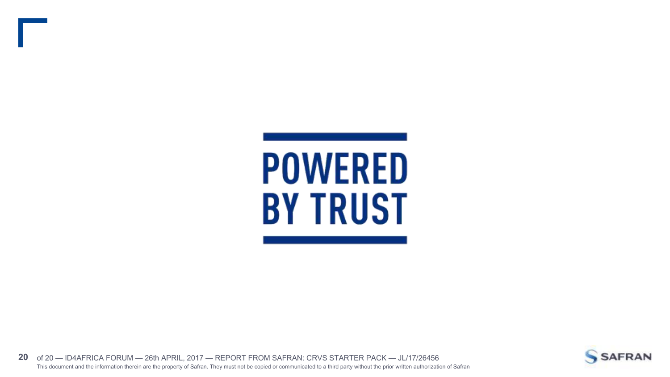![](_page_19_Picture_0.jpeg)

![](_page_19_Picture_2.jpeg)